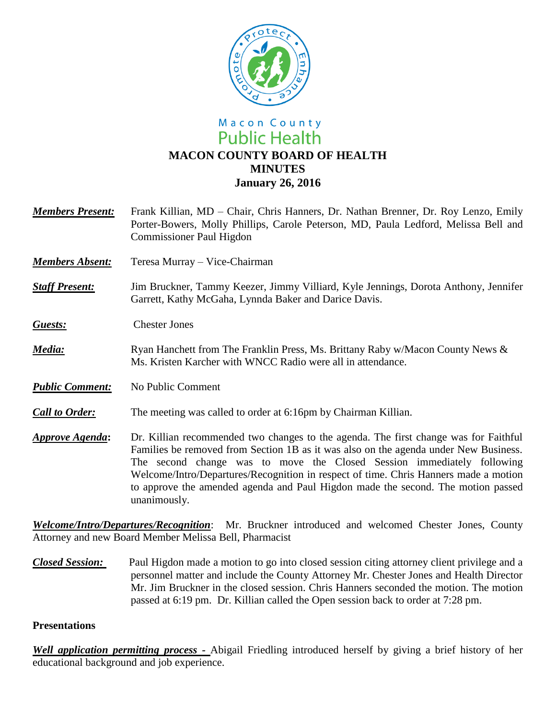

# Macon County **Public Health MACON COUNTY BOARD OF HEALTH MINUTES January 26, 2016**

- *Members Present:* Frank Killian, MD Chair, Chris Hanners, Dr. Nathan Brenner, Dr. Roy Lenzo, Emily Porter-Bowers, Molly Phillips, Carole Peterson, MD, Paula Ledford, Melissa Bell and Commissioner Paul Higdon
- *Members Absent:* Teresa Murray Vice-Chairman
- *Staff Present:*Jim Bruckner, Tammy Keezer, Jimmy Villiard, Kyle Jennings, Dorota Anthony, Jennifer Garrett, Kathy McGaha, Lynnda Baker and Darice Davis.
- *Guests:* Chester Jones
- *Media*: Ryan Hanchett from The Franklin Press, Ms. Brittany Raby w/Macon County News & Ms. Kristen Karcher with WNCC Radio were all in attendance.
- *Public Comment:* No Public Comment
- *Call to Order:* The meeting was called to order at 6:16pm by Chairman Killian.
- *Approve Agenda***:** Dr. Killian recommended two changes to the agenda. The first change was for Faithful Families be removed from Section 1B as it was also on the agenda under New Business. The second change was to move the Closed Session immediately following Welcome/Intro/Departures/Recognition in respect of time. Chris Hanners made a motion to approve the amended agenda and Paul Higdon made the second. The motion passed unanimously.

*Welcome/Intro/Departures/Recognition*: Mr. Bruckner introduced and welcomed Chester Jones, County Attorney and new Board Member Melissa Bell, Pharmacist

*Closed Session:* Paul Higdon made a motion to go into closed session citing attorney client privilege and a personnel matter and include the County Attorney Mr. Chester Jones and Health Director Mr. Jim Bruckner in the closed session. Chris Hanners seconded the motion. The motion passed at 6:19 pm. Dr. Killian called the Open session back to order at 7:28 pm.

### **Presentations**

*Well application permitting process -* Abigail Friedling introduced herself by giving a brief history of her educational background and job experience.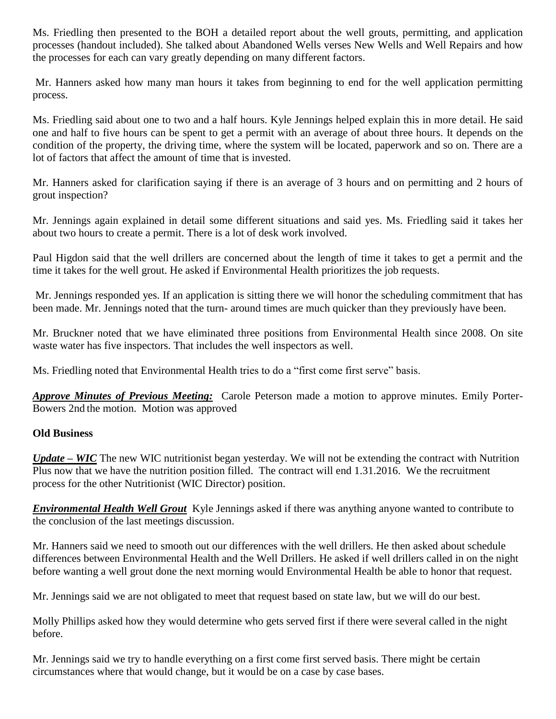Ms. Friedling then presented to the BOH a detailed report about the well grouts, permitting, and application processes (handout included). She talked about Abandoned Wells verses New Wells and Well Repairs and how the processes for each can vary greatly depending on many different factors.

Mr. Hanners asked how many man hours it takes from beginning to end for the well application permitting process.

Ms. Friedling said about one to two and a half hours. Kyle Jennings helped explain this in more detail. He said one and half to five hours can be spent to get a permit with an average of about three hours. It depends on the condition of the property, the driving time, where the system will be located, paperwork and so on. There are a lot of factors that affect the amount of time that is invested.

Mr. Hanners asked for clarification saying if there is an average of 3 hours and on permitting and 2 hours of grout inspection?

Mr. Jennings again explained in detail some different situations and said yes. Ms. Friedling said it takes her about two hours to create a permit. There is a lot of desk work involved.

Paul Higdon said that the well drillers are concerned about the length of time it takes to get a permit and the time it takes for the well grout. He asked if Environmental Health prioritizes the job requests.

Mr. Jennings responded yes. If an application is sitting there we will honor the scheduling commitment that has been made. Mr. Jennings noted that the turn- around times are much quicker than they previously have been.

Mr. Bruckner noted that we have eliminated three positions from Environmental Health since 2008. On site waste water has five inspectors. That includes the well inspectors as well.

Ms. Friedling noted that Environmental Health tries to do a "first come first serve" basis.

*Approve Minutes of Previous Meeting:* Carole Peterson made a motion to approve minutes. Emily Porter-Bowers 2nd the motion. Motion was approved

## **Old Business**

*Update – WIC* The new WIC nutritionist began yesterday. We will not be extending the contract with Nutrition Plus now that we have the nutrition position filled. The contract will end 1.31.2016. We the recruitment process for the other Nutritionist (WIC Director) position.

*Environmental Health Well Grout* Kyle Jennings asked if there was anything anyone wanted to contribute to the conclusion of the last meetings discussion.

Mr. Hanners said we need to smooth out our differences with the well drillers. He then asked about schedule differences between Environmental Health and the Well Drillers. He asked if well drillers called in on the night before wanting a well grout done the next morning would Environmental Health be able to honor that request.

Mr. Jennings said we are not obligated to meet that request based on state law, but we will do our best.

Molly Phillips asked how they would determine who gets served first if there were several called in the night before.

Mr. Jennings said we try to handle everything on a first come first served basis. There might be certain circumstances where that would change, but it would be on a case by case bases.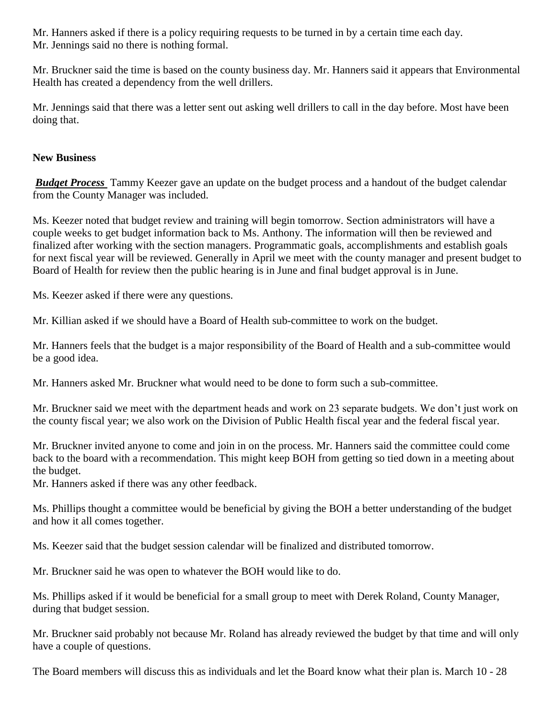Mr. Hanners asked if there is a policy requiring requests to be turned in by a certain time each day. Mr. Jennings said no there is nothing formal.

Mr. Bruckner said the time is based on the county business day. Mr. Hanners said it appears that Environmental Health has created a dependency from the well drillers.

Mr. Jennings said that there was a letter sent out asking well drillers to call in the day before. Most have been doing that.

## **New Business**

*Budget Process* Tammy Keezer gave an update on the budget process and a handout of the budget calendar from the County Manager was included.

Ms. Keezer noted that budget review and training will begin tomorrow. Section administrators will have a couple weeks to get budget information back to Ms. Anthony. The information will then be reviewed and finalized after working with the section managers. Programmatic goals, accomplishments and establish goals for next fiscal year will be reviewed. Generally in April we meet with the county manager and present budget to Board of Health for review then the public hearing is in June and final budget approval is in June.

Ms. Keezer asked if there were any questions.

Mr. Killian asked if we should have a Board of Health sub-committee to work on the budget.

Mr. Hanners feels that the budget is a major responsibility of the Board of Health and a sub-committee would be a good idea.

Mr. Hanners asked Mr. Bruckner what would need to be done to form such a sub-committee.

Mr. Bruckner said we meet with the department heads and work on 23 separate budgets. We don't just work on the county fiscal year; we also work on the Division of Public Health fiscal year and the federal fiscal year.

Mr. Bruckner invited anyone to come and join in on the process. Mr. Hanners said the committee could come back to the board with a recommendation. This might keep BOH from getting so tied down in a meeting about the budget.

Mr. Hanners asked if there was any other feedback.

Ms. Phillips thought a committee would be beneficial by giving the BOH a better understanding of the budget and how it all comes together.

Ms. Keezer said that the budget session calendar will be finalized and distributed tomorrow.

Mr. Bruckner said he was open to whatever the BOH would like to do.

Ms. Phillips asked if it would be beneficial for a small group to meet with Derek Roland, County Manager, during that budget session.

Mr. Bruckner said probably not because Mr. Roland has already reviewed the budget by that time and will only have a couple of questions.

The Board members will discuss this as individuals and let the Board know what their plan is. March 10 - 28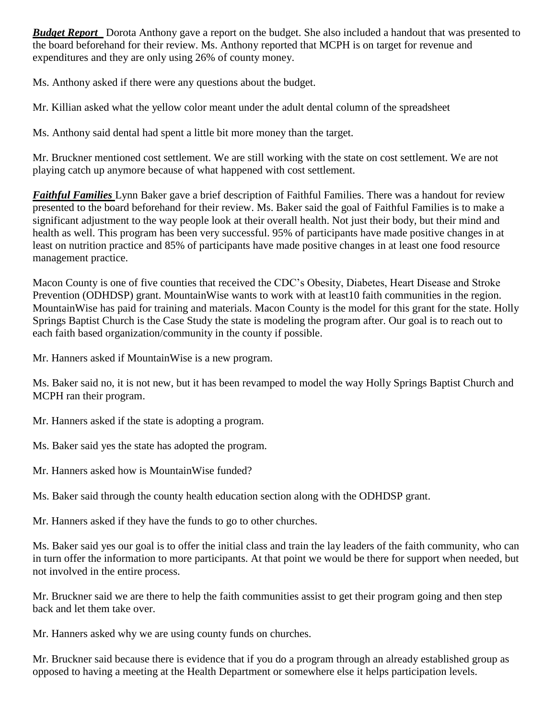*Budget Report* Dorota Anthony gave a report on the budget. She also included a handout that was presented to the board beforehand for their review. Ms. Anthony reported that MCPH is on target for revenue and expenditures and they are only using 26% of county money.

Ms. Anthony asked if there were any questions about the budget.

Mr. Killian asked what the yellow color meant under the adult dental column of the spreadsheet

Ms. Anthony said dental had spent a little bit more money than the target.

Mr. Bruckner mentioned cost settlement. We are still working with the state on cost settlement. We are not playing catch up anymore because of what happened with cost settlement.

*Faithful Families* Lynn Baker gave a brief description of Faithful Families. There was a handout for review presented to the board beforehand for their review. Ms. Baker said the goal of Faithful Families is to make a significant adjustment to the way people look at their overall health. Not just their body, but their mind and health as well. This program has been very successful. 95% of participants have made positive changes in at least on nutrition practice and 85% of participants have made positive changes in at least one food resource management practice.

Macon County is one of five counties that received the CDC's Obesity, Diabetes, Heart Disease and Stroke Prevention (ODHDSP) grant. MountainWise wants to work with at least10 faith communities in the region. MountainWise has paid for training and materials. Macon County is the model for this grant for the state. Holly Springs Baptist Church is the Case Study the state is modeling the program after. Our goal is to reach out to each faith based organization/community in the county if possible.

Mr. Hanners asked if MountainWise is a new program.

Ms. Baker said no, it is not new, but it has been revamped to model the way Holly Springs Baptist Church and MCPH ran their program.

Mr. Hanners asked if the state is adopting a program.

Ms. Baker said yes the state has adopted the program.

Mr. Hanners asked how is MountainWise funded?

Ms. Baker said through the county health education section along with the ODHDSP grant.

Mr. Hanners asked if they have the funds to go to other churches.

Ms. Baker said yes our goal is to offer the initial class and train the lay leaders of the faith community, who can in turn offer the information to more participants. At that point we would be there for support when needed, but not involved in the entire process.

Mr. Bruckner said we are there to help the faith communities assist to get their program going and then step back and let them take over.

Mr. Hanners asked why we are using county funds on churches.

Mr. Bruckner said because there is evidence that if you do a program through an already established group as opposed to having a meeting at the Health Department or somewhere else it helps participation levels.